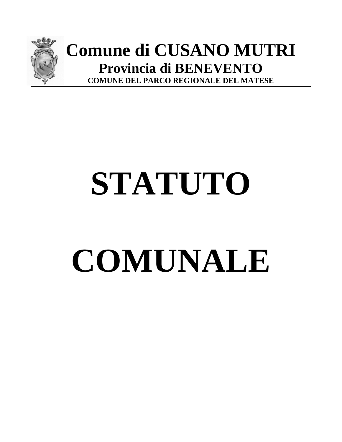

# **Comune di CUSANO MUTRI Provincia di BENEVENTO COMUNE DEL PARCO REGIONALE DEL MATESE**

# **STATUTO COMUNALE**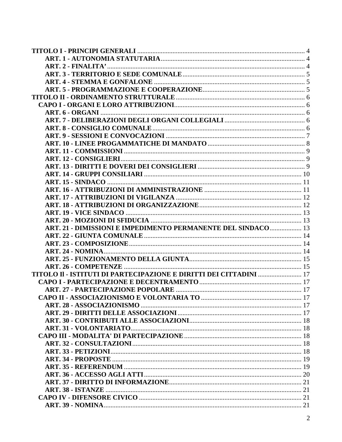| ART. 21 - DIMISSIONI E IMPEDIMENTO PERMANENTE DEL SINDACO  13      |  |
|--------------------------------------------------------------------|--|
|                                                                    |  |
|                                                                    |  |
|                                                                    |  |
|                                                                    |  |
| TITOLO II - ISTITUTI DI PARTECIPAZIONE E DIRITTI DEI CITTADINI  17 |  |
|                                                                    |  |
|                                                                    |  |
|                                                                    |  |
|                                                                    |  |
|                                                                    |  |
|                                                                    |  |
|                                                                    |  |
|                                                                    |  |
|                                                                    |  |
|                                                                    |  |
|                                                                    |  |
|                                                                    |  |
|                                                                    |  |
|                                                                    |  |
|                                                                    |  |
|                                                                    |  |
|                                                                    |  |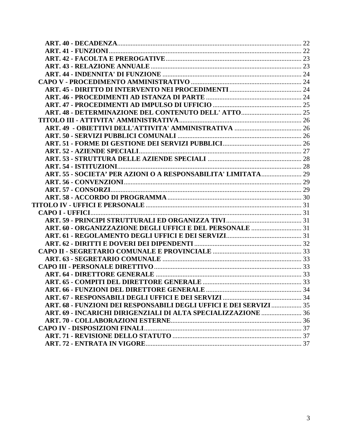| ART. 68 - FUNZIONI DEI RESPONSABILI DEGLI UFFICI E DEI SERVIZI  35 |  |
|--------------------------------------------------------------------|--|
|                                                                    |  |
|                                                                    |  |
|                                                                    |  |
|                                                                    |  |
|                                                                    |  |
|                                                                    |  |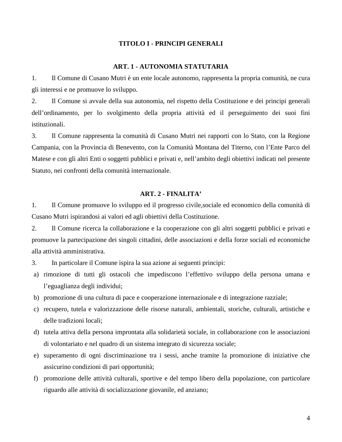# **TITOLO I - PRINCIPI GENERALI**

#### **ART. 1 - AUTONOMIA STATUTARIA**

<span id="page-3-1"></span><span id="page-3-0"></span>1. Il Comune di Cusano Mutri è un ente locale autonomo, rappresenta la propria comunità, ne cura gli interessi e ne promuove lo sviluppo.

2. Il Comune si avvale della sua autonomia, nel rispetto della Costituzione e dei principi generali dell'ordinamento, per lo svolgimento della propria attività ed il perseguimento dei suoi fini istituzionali.

3. Il Comune rappresenta la comunità di Cusano Mutri nei rapporti con lo Stato, con la Regione Campania, con la Provincia di Benevento, con la Comunità Montana del Titerno, con l'Ente Parco del Matese e con gli altri Enti o soggetti pubblici e privati e, nell'ambito degli obiettivi indicati nel presente Statuto, nei confronti della comunità internazionale.

# **ART. 2 - FINALITA'**

<span id="page-3-2"></span>1. Il Comune promuove lo sviluppo ed il progresso civile,sociale ed economico della comunità di Cusano Mutri ispirandosi ai valori ed agli obiettivi della Costituzione.

2. Il Comune ricerca la collaborazione e la cooperazione con gli altri soggetti pubblici e privati e promuove la partecipazione dei singoli cittadini, delle associazioni e della forze sociali ed economiche alla attività amministrativa.

3. In particolare il Comune ispira la sua azione ai seguenti principi:

- a) rimozione di tutti gli ostacoli che impediscono l'effettivo sviluppo della persona umana e l'eguaglianza degli individui;
- b) promozione di una cultura di pace e cooperazione internazionale e di integrazione razziale;
- c) recupero, tutela e valorizzazione delle risorse naturali, ambientali, storiche, culturali, artistiche e delle tradizioni locali;
- d) tutela attiva della persona improntata alla solidarietà sociale, in collaborazione con le associazioni di volontariato e nel quadro di un sistema integrato di sicurezza sociale;
- e) superamento di ogni discriminazione tra i sessi, anche tramite la promozione di iniziative che assicurino condizioni di pari opportunità;
- f) promozione delle attività culturali, sportive e del tempo libero della popolazione, con particolare riguardo alle attività di socializzazione giovanile, ed anziano;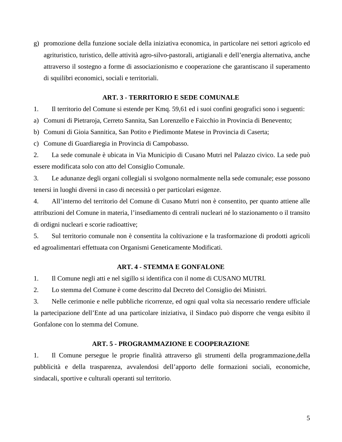g) promozione della funzione sociale della iniziativa economica, in particolare nei settori agricolo ed agrituristico, turistico, delle attività agro-silvo-pastorali, artigianali e dell'energia alternativa, anche attraverso il sostegno a forme di associazionismo e cooperazione che garantiscano il superamento di squilibri economici, sociali e territoriali.

# **ART. 3 - TERRITORIO E SEDE COMUNALE**

<span id="page-4-0"></span>1. Il territorio del Comune si estende per Kmq. 59,61 ed i suoi confini geografici sono i seguenti:

a) Comuni di Pietraroja, Cerreto Sannita, San Lorenzello e Faicchio in Provincia di Benevento;

b) Comuni di Gioia Sannitica, San Potito e Piedimonte Matese in Provincia di Caserta;

c) Comune di Guardiaregia in Provincia di Campobasso.

2. La sede comunale è ubicata in Via Municipio di Cusano Mutri nel Palazzo civico. La sede può essere modificata solo con atto del Consiglio Comunale.

3. Le adunanze degli organi collegiali si svolgono normalmente nella sede comunale; esse possono tenersi in luoghi diversi in caso di necessità o per particolari esigenze.

4. All'interno del territorio del Comune di Cusano Mutri non è consentito, per quanto attiene alle attribuzioni del Comune in materia, l'insediamento di centrali nucleari né lo stazionamento o il transito di ordigni nucleari e scorie radioattive;

5. Sul territorio comunale non è consentita la coltivazione e la trasformazione di prodotti agricoli ed agroalimentari effettuata con Organismi Geneticamente Modificati.

# **ART. 4 - STEMMA E GONFALONE**

<span id="page-4-1"></span>1. Il Comune negli atti e nel sigillo si identifica con il nome di CUSANO MUTRI.

2. Lo stemma del Comune è come descritto dal Decreto del Consiglio dei Ministri.

3. Nelle cerimonie e nelle pubbliche ricorrenze, ed ogni qual volta sia necessario rendere ufficiale la partecipazione dell'Ente ad una particolare iniziativa, il Sindaco può disporre che venga esibito il Gonfalone con lo stemma del Comune.

# **ART. 5 - PROGRAMMAZIONE E COOPERAZIONE**

<span id="page-4-2"></span>1. Il Comune persegue le proprie finalità attraverso gli strumenti della programmazione,della pubblicità e della trasparenza, avvalendosi dell'apporto delle formazioni sociali, economiche, sindacali, sportive e culturali operanti sul territorio.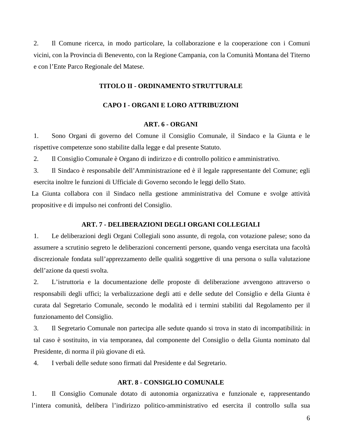<span id="page-5-0"></span>2. Il Comune ricerca, in modo particolare, la collaborazione e la cooperazione con i Comuni vicini, con la Provincia di Benevento, con la Regione Campania, con la Comunità Montana del Titerno e con l'Ente Parco Regionale del Matese.

# **TITOLO II - ORDINAMENTO STRUTTURALE**

# **CAPO I - ORGANI E LORO ATTRIBUZIONI**

# **ART. 6 - ORGANI**

<span id="page-5-2"></span><span id="page-5-1"></span>1. Sono Organi di governo del Comune il Consiglio Comunale, il Sindaco e la Giunta e le rispettive competenze sono stabilite dalla legge e dal presente Statuto.

2. Il Consiglio Comunale è Organo di indirizzo e di controllo politico e amministrativo.

3. Il Sindaco è responsabile dell'Amministrazione ed è il legale rappresentante del Comune; egli esercita inoltre le funzioni di Ufficiale di Governo secondo le leggi dello Stato.

La Giunta collabora con il Sindaco nella gestione amministrativa del Comune e svolge attività propositive e di impulso nei confronti del Consiglio.

#### **ART. 7 - DELIBERAZIONI DEGLI ORGANI COLLEGIALI**

<span id="page-5-3"></span>1. Le deliberazioni degli Organi Collegiali sono assunte, di regola, con votazione palese; sono da assumere a scrutinio segreto le deliberazioni concernenti persone, quando venga esercitata una facoltà discrezionale fondata sull'apprezzamento delle qualità soggettive di una persona o sulla valutazione dell'azione da questi svolta.

2. L'istruttoria e la documentazione delle proposte di deliberazione avvengono attraverso o responsabili degli uffici; la verbalizzazione degli atti e delle sedute del Consiglio e della Giunta è curata dal Segretario Comunale, secondo le modalità ed i termini stabiliti dal Regolamento per il funzionamento del Consiglio.

3. Il Segretario Comunale non partecipa alle sedute quando si trova in stato di incompatibilità: in tal caso è sostituito, in via temporanea, dal componente del Consiglio o della Giunta nominato dal Presidente, di norma il più giovane di età.

4. I verbali delle sedute sono firmati dal Presidente e dal Segretario.

#### **ART. 8 - CONSIGLIO COMUNALE**

<span id="page-5-4"></span>1. Il Consiglio Comunale dotato di autonomia organizzativa e funzionale e, rappresentando l'intera comunità, delibera l'indirizzo politico-amministrativo ed esercita il controllo sulla sua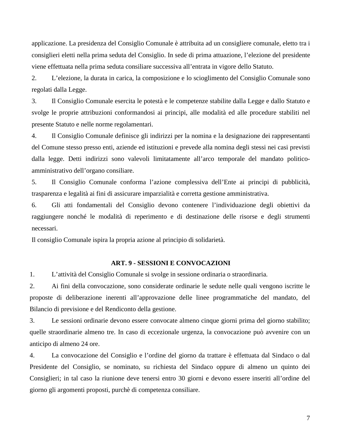applicazione. La presidenza del Consiglio Comunale è attribuita ad un consigliere comunale, eletto tra i consiglieri eletti nella prima seduta del Consiglio. In sede di prima attuazione, l'elezione del presidente viene effettuata nella prima seduta consiliare successiva all'entrata in vigore dello Statuto.

2. L'elezione, la durata in carica, la composizione e lo scioglimento del Consiglio Comunale sono regolati dalla Legge.

3. Il Consiglio Comunale esercita le potestà e le competenze stabilite dalla Legge e dallo Statuto e svolge le proprie attribuzioni conformandosi ai principi, alle modalità ed alle procedure stabiliti nel presente Statuto e nelle norme regolamentari.

4. Il Consiglio Comunale definisce gli indirizzi per la nomina e la designazione dei rappresentanti del Comune stesso presso enti, aziende ed istituzioni e prevede alla nomina degli stessi nei casi previsti dalla legge. Detti indirizzi sono valevoli limitatamente all'arco temporale del mandato politicoamministrativo dell'organo consiliare.

5. Il Consiglio Comunale conforma l'azione complessiva dell'Ente ai principi di pubblicità, trasparenza e legalità ai fini di assicurare imparzialità e corretta gestione amministrativa.

6. Gli atti fondamentali del Consiglio devono contenere l'individuazione degli obiettivi da raggiungere nonché le modalità di reperimento e di destinazione delle risorse e degli strumenti necessari.

Il consiglio Comunale ispira la propria azione al principio di solidarietà.

#### **ART. 9 - SESSIONI E CONVOCAZIONI**

<span id="page-6-0"></span>1. L'attività del Consiglio Comunale si svolge in sessione ordinaria o straordinaria.

2. Ai fini della convocazione, sono considerate ordinarie le sedute nelle quali vengono iscritte le proposte di deliberazione inerenti all'approvazione delle linee programmatiche del mandato, del Bilancio di previsione e del Rendiconto della gestione.

3. Le sessioni ordinarie devono essere convocate almeno cinque giorni prima del giorno stabilito; quelle straordinarie almeno tre. In caso di eccezionale urgenza, la convocazione può avvenire con un anticipo di almeno 24 ore.

4. La convocazione del Consiglio e l'ordine del giorno da trattare è effettuata dal Sindaco o dal Presidente del Consiglio, se nominato, su richiesta del Sindaco oppure di almeno un quinto dei Consiglieri; in tal caso la riunione deve tenersi entro 30 giorni e devono essere inseriti all'ordine del giorno gli argomenti proposti, purchè di competenza consiliare.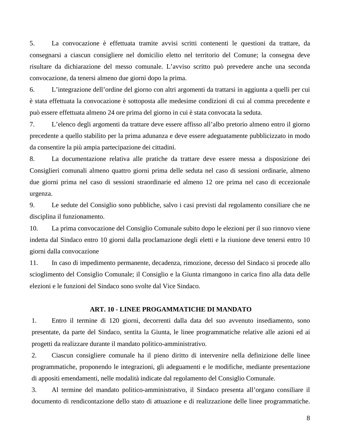5. La convocazione è effettuata tramite avvisi scritti contenenti le questioni da trattare, da consegnarsi a ciascun consigliere nel domicilio eletto nel territorio del Comune; la consegna deve risultare da dichiarazione del messo comunale. L'avviso scritto può prevedere anche una seconda convocazione, da tenersi almeno due giorni dopo la prima.

6. L'integrazione dell'ordine del giorno con altri argomenti da trattarsi in aggiunta a quelli per cui è stata effettuata la convocazione è sottoposta alle medesime condizioni di cui al comma precedente e può essere effettuata almeno 24 ore prima del giorno in cui è stata convocata la seduta.

7. L'elenco degli argomenti da trattare deve essere affisso all'albo pretorio almeno entro il giorno precedente a quello stabilito per la prima adunanza e deve essere adeguatamente pubblicizzato in modo da consentire la più ampia partecipazione dei cittadini.

8. La documentazione relativa alle pratiche da trattare deve essere messa a disposizione dei Consiglieri comunali almeno quattro giorni prima delle seduta nel caso di sessioni ordinarie, almeno due giorni prima nel caso di sessioni straordinarie ed almeno 12 ore prima nel caso di eccezionale urgenza.

9. Le sedute del Consiglio sono pubbliche, salvo i casi previsti dal regolamento consiliare che ne disciplina il funzionamento.

10. La prima convocazione del Consiglio Comunale subito dopo le elezioni per il suo rinnovo viene indetta dal Sindaco entro 10 giorni dalla proclamazione degli eletti e la riunione deve tenersi entro 10 giorni dalla convocazione

11. In caso di impedimento permanente, decadenza, rimozione, decesso del Sindaco si procede allo scioglimento del Consiglio Comunale; il Consiglio e la Giunta rimangono in carica fino alla data delle elezioni e le funzioni del Sindaco sono svolte dal Vice Sindaco.

# **ART. 10 - LINEE PROGAMMATICHE DI MANDATO**

<span id="page-7-0"></span>1. Entro il termine di 120 giorni, decorrenti dalla data del suo avvenuto insediamento, sono presentate, da parte del Sindaco, sentita la Giunta, le linee programmatiche relative alle azioni ed ai progetti da realizzare durante il mandato politico-amministrativo.

2. Ciascun consigliere comunale ha il pieno diritto di intervenire nella definizione delle linee programmatiche, proponendo le integrazioni, gli adeguamenti e le modifiche, mediante presentazione di appositi emendamenti, nelle modalità indicate dal regolamento del Consiglio Comunale.

3. Al termine del mandato politico-amministrativo, il Sindaco presenta all'organo consiliare il documento di rendicontazione dello stato di attuazione e di realizzazione delle linee programmatiche.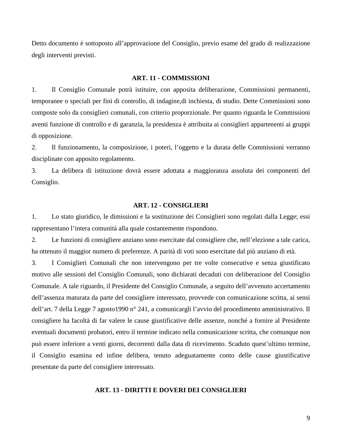Detto documento è sottoposto all'approvazione del Consiglio, previo esame del grado di realizzazione degli interventi previsti.

#### **ART. 11 - COMMISSIONI**

<span id="page-8-0"></span>1. Il Consiglio Comunale potrà istituire, con apposita deliberazione, Commissioni permanenti, temporanee o speciali per fini di controllo, di indagine,di inchiesta, di studio. Dette Commissioni sono composte solo da consiglieri comunali, con criterio proporzionale. Per quanto riguarda le Commissioni aventi funzione di controllo e di garanzia, la presidenza è attribuita ai consiglieri appartenenti ai gruppi di opposizione.

2. Il funzionamento, la composizione, i poteri, l'oggetto e la durata delle Commissioni verranno disciplinate con apposito regolamento.

3. La delibera di istituzione dovrà essere adottata a maggioranza assoluta dei componenti del Consiglio.

#### **ART. 12 - CONSIGLIERI**

<span id="page-8-1"></span>1. Lo stato giuridico, le dimissioni e la sostituzione dei Consiglieri sono regolati dalla Legge; essi rappresentano l'intera comunità alla quale costantemente rispondono.

2. Le funzioni di consigliere anziano sono esercitate dal consigliere che, nell'elezione a tale carica, ha ottenuto il maggior numero di preferenze. A parità di voti sono esercitate dal più anziano di età.

3. I Consiglieri Comunali che non intervengono per tre volte consecutive e senza giustificato motivo alle sessioni del Consiglio Comunali, sono dichiarati decaduti con deliberazione del Consiglio Comunale. A tale riguardo, il Presidente del Consiglio Comunale, a seguito dell'avvenuto accertamento dell'assenza maturata da parte del consigliere interessato, provvede con comunicazione scritta, ai sensi dell'art. 7 della Legge 7 agosto1990 n° 241, a comunicargli l'avvio del procedimento amministrativo. Il consigliere ha facoltà di far valere le cause giustificative delle assenze, nonché a fornire al Presidente eventuali documenti probatori, entro il termine indicato nella comunicazione scritta, che comunque non può essere inferiore a venti giorni, decorrenti dalla data di ricevimento. Scaduto quest'ultimo termine, il Consiglio esamina ed infine delibera, tenuto adeguatamente conto delle cause giustificative presentate da parte del consigliere interessato.

# <span id="page-8-2"></span>**ART. 13 - DIRITTI E DOVERI DEI CONSIGLIERI**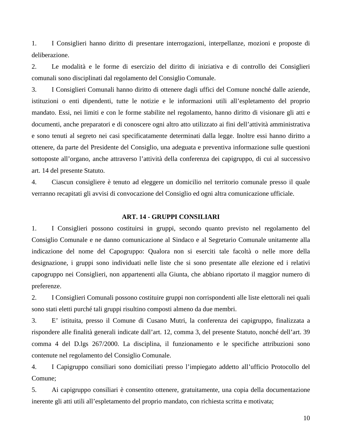1. I Consiglieri hanno diritto di presentare interrogazioni, interpellanze, mozioni e proposte di deliberazione.

2. Le modalità e le forme di esercizio del diritto di iniziativa e di controllo dei Consiglieri comunali sono disciplinati dal regolamento del Consiglio Comunale.

3. I Consiglieri Comunali hanno diritto di ottenere dagli uffici del Comune nonché dalle aziende, istituzioni o enti dipendenti, tutte le notizie e le informazioni utili all'espletamento del proprio mandato. Essi, nei limiti e con le forme stabilite nel regolamento, hanno diritto di visionare gli atti e documenti, anche preparatori e di conoscere ogni altro atto utilizzato ai fini dell'attività amministrativa e sono tenuti al segreto nei casi specificatamente determinati dalla legge. Inoltre essi hanno diritto a ottenere, da parte del Presidente del Consiglio, una adeguata e preventiva informazione sulle questioni sottoposte all'organo, anche attraverso l'attività della conferenza dei capigruppo, di cui al successivo art. 14 del presente Statuto.

4. Ciascun consigliere è tenuto ad eleggere un domicilio nel territorio comunale presso il quale verranno recapitati gli avvisi di convocazione del Consiglio ed ogni altra comunicazione ufficiale.

#### **ART. 14 - GRUPPI CONSILIARI**

<span id="page-9-0"></span>1. I Consiglieri possono costituirsi in gruppi, secondo quanto previsto nel regolamento del Consiglio Comunale e ne danno comunicazione al Sindaco e al Segretario Comunale unitamente alla indicazione del nome del Capogruppo: Qualora non si eserciti tale facoltà o nelle more della designazione, i gruppi sono individuati nelle liste che si sono presentate alle elezione ed i relativi capogruppo nei Consiglieri, non appartenenti alla Giunta, che abbiano riportato il maggior numero di preferenze.

2. I Consiglieri Comunali possono costituire gruppi non corrispondenti alle liste elettorali nei quali sono stati eletti purché tali gruppi risultino composti almeno da due membri.

3. E' istituita, presso il Comune di Cusano Mutri, la conferenza dei capigruppo, finalizzata a rispondere alle finalità generali indicate dall'art. 12, comma 3, del presente Statuto, nonché dell'art. 39 comma 4 del D.lgs 267/2000. La disciplina, il funzionamento e le specifiche attribuzioni sono contenute nel regolamento del Consiglio Comunale.

4. I Capigruppo consiliari sono domiciliati presso l'impiegato addetto all'ufficio Protocollo del Comune;

5. Ai capigruppo consiliari è consentito ottenere, gratuitamente, una copia della documentazione inerente gli atti utili all'espletamento del proprio mandato, con richiesta scritta e motivata;

10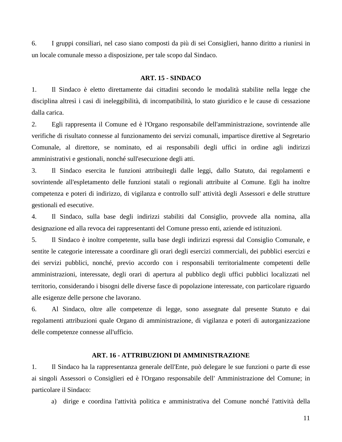6. I gruppi consiliari, nel caso siano composti da più di sei Consiglieri, hanno diritto a riunirsi in un locale comunale messo a disposizione, per tale scopo dal Sindaco.

#### **ART. 15 - SINDACO**

<span id="page-10-0"></span>1. Il Sindaco è eletto direttamente dai cittadini secondo le modalità stabilite nella legge che disciplina altresì i casi di ineleggibilità, di incompatibilità, lo stato giuridico e le cause di cessazione dalla carica.

2. Egli rappresenta il Comune ed è l'Organo responsabile dell'amministrazione, sovrintende alle verifiche di risultato connesse al funzionamento dei servizi comunali, impartisce direttive al Segretario Comunale, al direttore, se nominato, ed ai responsabili degli uffici in ordine agli indirizzi amministrativi e gestionali, nonché sull'esecuzione degli atti.

3. Il Sindaco esercita le funzioni attribuitegli dalle leggi, dallo Statuto, dai regolamenti e sovrintende all'espletamento delle funzioni statali o regionali attribuite al Comune. Egli ha inoltre competenza e poteri di indirizzo, di vigilanza e controllo sull' attività degli Assessori e delle strutture gestionali ed esecutive.

4. Il Sindaco, sulla base degli indirizzi stabiliti dal Consiglio, provvede alla nomina, alla designazione ed alla revoca dei rappresentanti del Comune presso enti, aziende ed istituzioni.

5. Il Sindaco è inoltre competente, sulla base degli indirizzi espressi dal Consiglio Comunale, e sentite le categorie interessate a coordinare gli orari degli esercizi commerciali, dei pubblici esercizi e dei servizi pubblici, nonché, previo accordo con i responsabili territorialmente competenti delle amministrazioni, interessate, degli orari di apertura al pubblico degli uffici pubblici localizzati nel territorio, considerando i bisogni delle diverse fasce di popolazione interessate, con particolare riguardo alle esigenze delle persone che lavorano.

6. Al Sindaco, oltre alle competenze di legge, sono assegnate dal presente Statuto e dai regolamenti attribuzioni quale Organo di amministrazione, di vigilanza e poteri di autorganizzazione delle competenze connesse all'ufficio.

#### **ART. 16 - ATTRIBUZIONI DI AMMINISTRAZIONE**

<span id="page-10-1"></span>1. Il Sindaco ha la rappresentanza generale dell'Ente, può delegare le sue funzioni o parte di esse ai singoli Assessori o Consiglieri ed è l'Organo responsabile dell' Amministrazione del Comune; in particolare il Sindaco:

a) dirige e coordina l'attività politica e amministrativa del Comune nonché l'attività della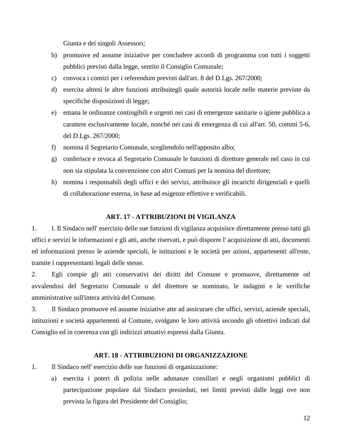Giunta e dei singoli Assessori;

- b) promuove ed assume iniziative per concludere accordi di programma con tutti i soggetti pubblici previsti dalla legge, sentito il Consiglio Comunale;
- c) convoca i comizi per i referendum previsti dall'art. 8 del D.Lgs. 267/2000;
- d) esercita altresì le altre funzioni attribuitegli quale autorità locale nelle materie previste da specifiche disposizioni di legge;
- e) emana le ordinanze contingibili e urgenti nei casi di emergenze sanitarie o igiene pubblica a carattere esclusivamente locale, nonché nei casi di emergenza di cui all'art. 50, commi 5-6, del D.Lgs. 267/2000;
- f) nomina il Segretario Comunale, scegliendolo nell'apposito albo;
- g) conferisce e revoca al Segretario Comunale le funzioni di direttore generale nel caso in cui non sia stipulata la convenzione con altri Comuni per la nomina del direttore;
- h) nomina i responsabili degli uffici e dei servizi, attribuisce gli incarichi dirigenziali e quelli di collaborazione esterna, in base ad esigenze effettive e verificabili.

# **ART. 17 - ATTRIBUZIONI DI VIGILANZA**

<span id="page-11-0"></span>1. l. Il Sindaco nell' esercizio delle sue funzioni di vigilanza acquisisce direttamente presso tutti gli uffici e servizi le informazioni e gli atti, anche riservati, e può disporre l' acquisizione di atti, documenti ed informazioni presso le aziende speciali, le istituzioni e le società per azioni, appartenenti all'ente, tramite i rappresentanti legali delle stesse.

2. Egli compie gli atti conservativi dei diritti del Comune e promuove, direttamente od avvalendosi del Segretario Comunale o del direttore se nominato, le indagini e le verifiche amministrative sull'intera attività del Comune.

3. Il Sindaco promuove ed assume iniziative atte ad assicurare che uffici, servizi, aziende speciali, istituzioni e società appartenenti al Comune, svolgano le loro attività secondo gli obiettivi indicati dal Consiglio ed in coerenza con gli indirizzi attuativi espressi dalla Giunta.

#### **ART. 18 - ATTRIBUZIONI DI ORGANIZZAZIONE**

- <span id="page-11-1"></span>1. Il Sindaco nell' esercizio delle sue funzioni di organizzazione:
	- a) esercita i poteri di polizia nelle adunanze consiliari e negli organismi pubblici di partecipazione popolare dal Sindaco presieduti, nei limiti previsti dalle leggi ove non prevista la figura del Presidente del Consiglio;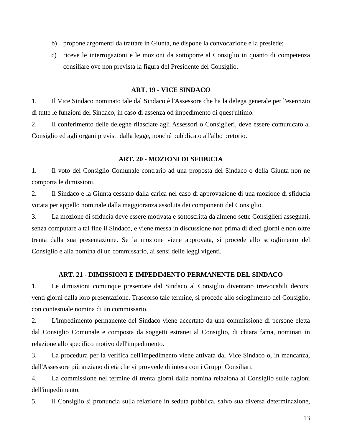- b) propone argomenti da trattare in Giunta, ne dispone la convocazione e la presiede;
- c) riceve le interrogazioni e le mozioni da sottoporre al Consiglio in quanto di competenza consiliare ove non prevista la figura del Presidente del Consiglio.

# **ART. 19 - VICE SINDACO**

<span id="page-12-0"></span>1. Il Vice Sindaco nominato tale dal Sindaco è l'Assessore che ha la delega generale per l'esercizio di tutte le funzioni del Sindaco, in caso di assenza od impedimento di quest'ultimo.

2. Il conferimento delle deleghe rilasciate agli Assessori o Consiglieri, deve essere comunicato al Consiglio ed agli organi previsti dalla legge, nonché pubblicato all'albo pretorio.

# **ART. 20 - MOZIONI DI SFIDUCIA**

<span id="page-12-1"></span>1. Il voto del Consiglio Comunale contrario ad una proposta del Sindaco o della Giunta non ne comporta le dimissioni.

2. Il Sindaco e la Giunta cessano dalla carica nel caso di approvazione di una mozione di sfiducia votata per appello nominale dalla maggioranza assoluta dei componenti del Consiglio.

3. La mozione di sfiducia deve essere motivata e sottoscritta da almeno sette Consiglieri assegnati, senza computare a tal fine il Sindaco, e viene messa in discussione non prima di dieci giorni e non oltre trenta dalla sua presentazione. Se la mozione viene approvata, si procede allo scioglimento del Consiglio e alla nomina di un commissario, ai sensi delle leggi vigenti.

# **ART. 21 - DIMISSIONI E IMPEDIMENTO PERMANENTE DEL SINDACO**

<span id="page-12-2"></span>1. Le dimissioni comunque presentate dal Sindaco al Consiglio diventano irrevocabili decorsi venti giorni dalla loro presentazione. Trascorso tale termine, si procede allo scioglimento del Consiglio, con contestuale nomina di un commissario.

2. L'impedimento permanente del Sindaco viene accertato da una commissione di persone eletta dal Consiglio Comunale e composta da soggetti estranei al Consiglio, di chiara fama, nominati in relazione allo specifico motivo dell'impedimento.

3. La procedura per la verifica dell'impedimento viene attivata dal Vice Sindaco o, in mancanza, dall'Assessore più anziano di età che vi provvede di intesa con i Gruppi Consiliari.

4. La commissione nel termine di trenta giorni dalla nomina relaziona al Consiglio sulle ragioni dell'impedimento.

5. Il Consiglio si pronuncia sulla relazione in seduta pubblica, salvo sua diversa determinazione,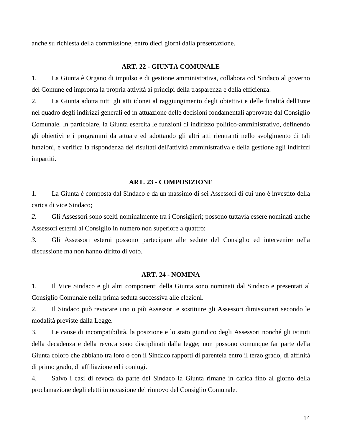anche su richiesta della commissione, entro dieci giorni dalla presentazione.

#### **ART. 22 - GIUNTA COMUNALE**

<span id="page-13-0"></span>1. La Giunta è Organo di impulso e di gestione amministrativa, collabora col Sindaco al governo del Comune ed impronta la propria attività ai principi della trasparenza e della efficienza.

2. La Giunta adotta tutti gli atti idonei al raggiungimento degli obiettivi e delle finalità dell'Ente nel quadro degli indirizzi generali ed in attuazione delle decisioni fondamentali approvate dal Consiglio Comunale. In particolare, la Giunta esercita le funzioni di indirizzo politico-amministrativo, definendo gli obiettivi e i programmi da attuare ed adottando gli altri atti rientranti nello svolgimento di tali funzioni, e verifica la rispondenza dei risultati dell'attività amministrativa e della gestione agli indirizzi impartiti.

#### **ART. 23 - COMPOSIZIONE**

<span id="page-13-1"></span>1. La Giunta è composta dal Sindaco e da un massimo di sei Assessori di cui uno è investito della carica di vice Sindaco;

*2.* Gli Assessori sono scelti nominalmente tra i Consiglieri; possono tuttavia essere nominati anche Assessori esterni al Consiglio in numero non superiore a quattro;

*3.* Gli Assessori esterni possono partecipare alle sedute del Consiglio ed intervenire nella discussione ma non hanno diritto di voto.

#### **ART. 24 - NOMINA**

<span id="page-13-2"></span>1. Il Vice Sindaco e gli altri componenti della Giunta sono nominati dal Sindaco e presentati al Consiglio Comunale nella prima seduta successiva alle elezioni.

2. Il Sindaco può revocare uno o più Assessori e sostituire gli Assessori dimissionari secondo le modalità previste dalla Legge.

3. Le cause di incompatibilità, la posizione e lo stato giuridico degli Assessori nonché gli istituti della decadenza e della revoca sono disciplinati dalla legge; non possono comunque far parte della Giunta coloro che abbiano tra loro o con il Sindaco rapporti di parentela entro il terzo grado, di affinità di primo grado, di affiliazione ed i coniugi.

4. Salvo i casi di revoca da parte del Sindaco la Giunta rimane in carica fino al giorno della proclamazione degli eletti in occasione del rinnovo del Consiglio Comunale.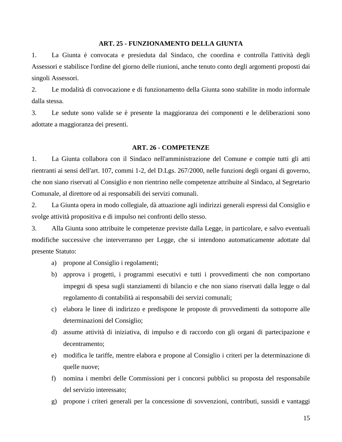# **ART. 25 - FUNZIONAMENTO DELLA GIUNTA**

<span id="page-14-0"></span>1. La Giunta è convocata e presieduta dal Sindaco, che coordina e controlla l'attività degli Assessori e stabilisce l'ordine del giorno delle riunioni, anche tenuto conto degli argomenti proposti dai singoli Assessori.

2. Le modalità di convocazione e di funzionamento della Giunta sono stabilite in modo informale dalla stessa.

3. Le sedute sono valide se è presente la maggioranza dei componenti e le deliberazioni sono adottate a maggioranza dei presenti.

#### **ART. 26 - COMPETENZE**

<span id="page-14-1"></span>1. La Giunta collabora con il Sindaco nell'amministrazione del Comune e compie tutti gli atti rientranti ai sensi dell'art. 107, commi 1-2, del D.Lgs. 267/2000, nelle funzioni degli organi di governo, che non siano riservati al Consiglio e non rientrino nelle competenze attribuite al Sindaco, al Segretario Comunale, al direttore od ai responsabili dei servizi comunali.

2. La Giunta opera in modo collegiale, dà attuazione agli indirizzi generali espressi dal Consiglio e svolge attività propositiva e di impulso nei confronti dello stesso.

3. Alla Giunta sono attribuite le competenze previste dalla Legge, in particolare, e salvo eventuali modifiche successive che interverranno per Legge, che si intendono automaticamente adottate dal presente Statuto:

- a) propone al Consiglio i regolamenti;
- b) approva i progetti, i programmi esecutivi e tutti i provvedimenti che non comportano impegni di spesa sugli stanziamenti di bilancio e che non siano riservati dalla legge o dal regolamento di contabilità ai responsabili dei servizi comunali;
- c) elabora le linee di indirizzo e predispone le proposte di provvedimenti da sottoporre alle determinazioni del Consiglio;
- d) assume attività di iniziativa, di impulso e di raccordo con gli organi di partecipazione e decentramento;
- e) modifica le tariffe, mentre elabora e propone al Consiglio i criteri per la determinazione di quelle nuove;
- f) nomina i membri delle Commissioni per i concorsi pubblici su proposta del responsabile del servizio interessato;
- g) propone i criteri generali per la concessione di sovvenzioni, contributi, sussidi e vantaggi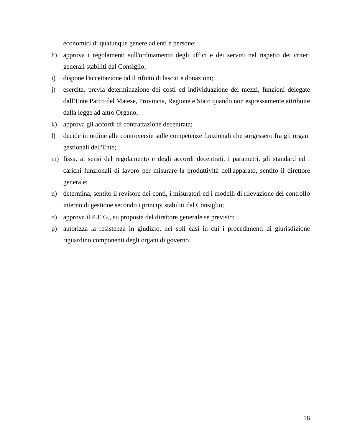economici di qualunque genere ad enti e persone;

- h) approva i regolamenti sull'ordinamento degli uffici e dei servizi nel rispetto dei criteri generali stabiliti dal Consiglio;
- i) dispone l'accettazione od il rifiuto di lasciti e donazioni;
- j) esercita, previa determinazione dei costi ed individuazione dei mezzi, funzioni delegate dall'Ente Parco del Matese, Provincia, Regione e Stato quando non espressamente attribuite dalla legge ad altro Organo;
- k) approva gli accordi di contrattazione decentrata;
- l) decide in ordine alle controversie sulle competenze funzionali che sorgessero fra gli organi gestionali dell'Ente;
- m) fissa, ai sensi del regolamento e degli accordi decentrati, i parametri, gli standard ed i carichi funzionali di lavoro per misurare la produttività dell'apparato, sentito il direttore generale;
- n) determina, sentito il revisore dei conti, i misuratori ed i modelli di rilevazione del controllo interno di gestione secondo i principi stabiliti dal Consiglio;
- o) approva il P.E.G., su proposta del direttore generale se previsto;
- p) autorizza la resistenza in giudizio, nei soli casi in cui i procedimenti di giurisdizione riguardino componenti degli organi di governo.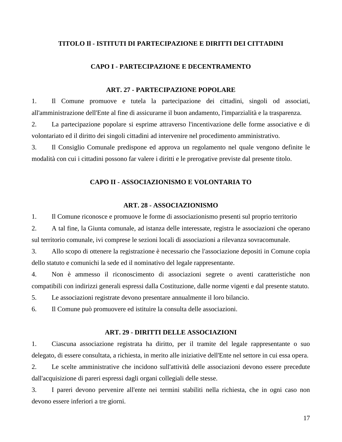# <span id="page-16-0"></span>**TITOLO Il - ISTITUTI DI PARTECIPAZIONE E DIRITTI DEI CITTADINI**

#### **CAPO I - PARTECIPAZIONE E DECENTRAMENTO**

# **ART. 27 - PARTECIPAZIONE POPOLARE**

<span id="page-16-2"></span><span id="page-16-1"></span>1. Il Comune promuove e tutela la partecipazione dei cittadini, singoli od associati, all'amministrazione dell'Ente al fine di assicurarne il buon andamento, l'imparzialità e la trasparenza.

2. La partecipazione popolare si esprime attraverso l'incentivazione delle forme associative e di volontariato ed il diritto dei singoli cittadini ad intervenire nel procedimento amministrativo.

<span id="page-16-3"></span>3. Il Consiglio Comunale predispone ed approva un regolamento nel quale vengono definite le modalità con cui i cittadini possono far valere i diritti e le prerogative previste dal presente titolo.

# **CAPO II - ASSOCIAZIONISMO E VOLONTARIA TO**

#### **ART. 28 - ASSOCIAZIONISMO**

<span id="page-16-4"></span>1. Il Comune riconosce e promuove le forme di associazionismo presenti sul proprio territorio

2. A tal fine, la Giunta comunale, ad istanza delle interessate, registra le associazioni che operano sul territorio comunale, ivi comprese le sezioni locali di associazioni a rilevanza sovracomunale.

3. Allo scopo di ottenere la registrazione è necessario che l'associazione depositi in Comune copia dello statuto e comunichi la sede ed il nominativo del legale rappresentante.

4. Non è ammesso il riconoscimento di associazioni segrete o aventi caratteristiche non compatibili con indirizzi generali espressi dalla Costituzione, dalle norme vigenti e dal presente statuto.

5. Le associazioni registrate devono presentare annualmente il loro bilancio.

6. Il Comune può promuovere ed istituire la consulta delle associazioni.

# **ART. 29 - DIRITTI DELLE ASSOCIAZIONI**

<span id="page-16-5"></span>1. Ciascuna associazione registrata ha diritto, per il tramite del legale rappresentante o suo delegato, di essere consultata, a richiesta, in merito alle iniziative dell'Ente nel settore in cui essa opera.

2. Le scelte amministrative che incidono sull'attività delle associazioni devono essere precedute dall'acquisizione di pareri espressi dagli organi collegiali delle stesse.

3. I pareri devono pervenire all'ente nei termini stabiliti nella richiesta, che in ogni caso non devono essere inferiori a tre giorni.

17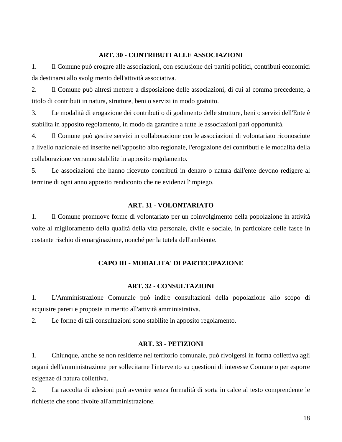# **ART. 30 - CONTRIBUTI ALLE ASSOCIAZIONI**

<span id="page-17-0"></span>1. Il Comune può erogare alle associazioni, con esclusione dei partiti politici, contributi economici da destinarsi allo svolgimento dell'attività associativa.

2. Il Comune può altresì mettere a disposizione delle associazioni, di cui al comma precedente, a titolo di contributi in natura, strutture, beni o servizi in modo gratuito.

3. Le modalità di erogazione dei contributi o di godimento delle strutture, beni o servizi dell'Ente è stabilita in apposito regolamento, in modo da garantire a tutte le associazioni pari opportunità.

4. Il Comune può gestire servizi in collaborazione con le associazioni di volontariato riconosciute a livello nazionale ed inserite nell'apposito albo regionale, l'erogazione dei contributi e le modalità della collaborazione verranno stabilite in apposito regolamento.

5. Le associazioni che hanno ricevuto contributi in denaro o natura dall'ente devono redigere al termine di ogni anno apposito rendiconto che ne evidenzi l'impiego.

# **ART. 31 - VOLONTARIATO**

<span id="page-17-1"></span>1. Il Comune promuove forme di volontariato per un coinvolgimento della popolazione in attività volte al miglioramento della qualità della vita personale, civile e sociale, in particolare delle fasce in costante rischio di emarginazione, nonché per la tutela dell'ambiente.

# **CAPO III - MODALITA' DI PARTECIPAZIONE**

# **ART. 32 - CONSULTAZIONI**

<span id="page-17-3"></span><span id="page-17-2"></span>1. L'Amministrazione Comunale può indire consultazioni della popolazione allo scopo di acquisire pareri e proposte in merito all'attività amministrativa.

2. Le forme di tali consultazioni sono stabilite in apposito regolamento.

# **ART. 33 - PETIZIONI**

<span id="page-17-4"></span>1. Chiunque, anche se non residente nel territorio comunale, può rivolgersi in forma collettiva agli organi dell'amministrazione per sollecitarne l'intervento su questioni di interesse Comune o per esporre esigenze di natura collettiva.

2. La raccolta di adesioni può avvenire senza formalità di sorta in calce al testo comprendente le richieste che sono rivolte all'amministrazione.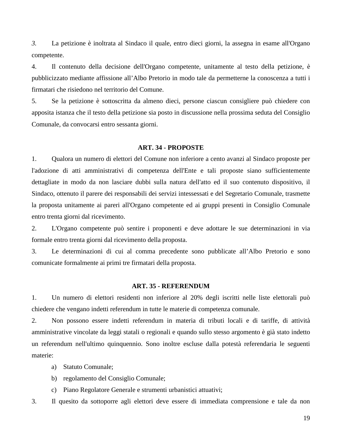*3.* La petizione è inoltrata al Sindaco il quale, entro dieci giorni, la assegna in esame all'Organo competente.

4. Il contenuto della decisione dell'Organo competente, unitamente al testo della petizione, è pubblicizzato mediante affissione all'Albo Pretorio in modo tale da permetterne la conoscenza a tutti i firmatari che risiedono nel territorio del Comune.

5. Se la petizione è sottoscritta da almeno dieci, persone ciascun consigliere può chiedere con apposita istanza che il testo della petizione sia posto in discussione nella prossima seduta del Consiglio Comunale, da convocarsi entro sessanta giorni.

#### **ART. 34 - PROPOSTE**

<span id="page-18-0"></span>1. Qualora un numero di elettori del Comune non inferiore a cento avanzi al Sindaco proposte per l'adozione di atti amministrativi di competenza dell'Ente e tali proposte siano sufficientemente dettagliate in modo da non lasciare dubbi sulla natura dell'atto ed il suo contenuto dispositivo, il Sindaco, ottenuto il parere dei responsabili dei servizi intessessati e del Segretario Comunale, trasmette la proposta unitamente ai pareri all'Organo competente ed ai gruppi presenti in Consiglio Comunale entro trenta giorni dal ricevimento.

2. L'Organo competente può sentire i proponenti e deve adottare le sue determinazioni in via formale entro trenta giorni dal ricevimento della proposta.

3. Le determinazioni di cui al comma precedente sono pubblicate all'Albo Pretorio e sono comunicate formalmente ai primi tre firmatari della proposta.

#### **ART. 35 - REFERENDUM**

<span id="page-18-1"></span>1. Un numero di elettori residenti non inferiore al 20% degli iscritti nelle liste elettorali può chiedere che vengano indetti referendum in tutte le materie di competenza comunale.

2. Non possono essere indetti referendum in materia di tributi locali e di tariffe, di attività amministrative vincolate da leggi statali o regionali e quando sullo stesso argomento è già stato indetto un referendum nell'ultimo quinquennio. Sono inoltre escluse dalla potestà referendaria le seguenti materie:

- a) Statuto Comunale;
- b) regolamento del Consiglio Comunale;
- c) Piano Regolatore Generale e strumenti urbanistici attuativi;

3. Il quesito da sottoporre agli elettori deve essere di immediata comprensione e tale da non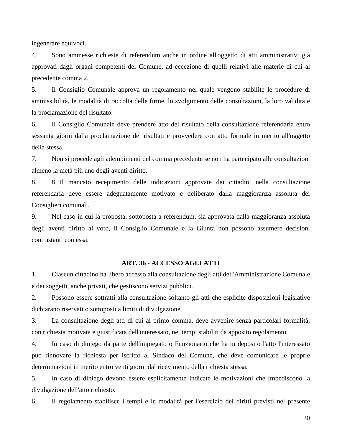ingenerare equivoci.

4. Sono ammesse richieste di referendum anche in ordine all'oggetto di atti amministrativi già approvati dagli organi competenti del Comune, ad eccezione di quelli relativi alle materie di cui al precedente comma 2.

5. Il Consiglio Comunale approva un regolamento nel quale vengono stabilite le procedure di ammissibilità, le modalità di raccolta delle firme, lo svolgimento delle consultazioni, la loro validità e la proclamazione del risultato.

6. Il Consiglio Comunale deve prendere atto del risultato della consultazione referendaria entro sessanta giorni dalla proclamazione dei risultati e provvedere con atto formale in merito all'oggetto della stessa.

7. Non si procede agli adempimenti del comma precedente se non ha partecipato alle consultazioni almeno la metà più uno degli aventi diritto.

8. 8 Il mancato recepimento delle indicazioni approvate dai cittadini nella consultazione referendaria deve essere adeguatamente motivato e deliberato dalla maggioranza assoluta dei Consiglieri comunali.

9. Nel caso in cui la proposta, sottoposta a referendum, sia approvata dalla maggioranza assoluta degli aventi diritto al voto, il Consiglio Comunale e la Giunta non possono assumere decisioni contrastanti con essa.

#### **ART. 36 - ACCESSO AGLI ATTI**

<span id="page-19-0"></span>1. Ciascun cittadino ha libero accesso alla consultazione degli atti dell'Amministrazione Comunale e dei soggetti, anche privati, che gestiscono servizi pubblici.

2. Possono essere sottratti alla consultazione soltanto gli atti che esplicite disposizioni legislative dichiarano riservati o sottoposti a limiti di divulgazione.

3. La consultazione degli atti di cui al primo comma, deve avvenire senza particolari formalità, con richiesta motivata e giustificata dell'interessato, nei tempi stabiliti da apposito regolamento.

4. In caso di diniego da parte dell'impiegato o Funzionario che ha in deposito l'atto l'interessato può rinnovare la richiesta per iscritto al Sindaco del Comune, che deve comunicare le proprie determinazioni in merito entro venti giorni dal ricevimento della richiesta stessa.

5. In caso di diniego devono essere esplicitamente indicate le motivazioni che impediscono la divulgazione dell'atto richiesto.

6. Il regolamento stabilisce i tempi e le modalità per l'esercizio dei diritti previsti nel presente

20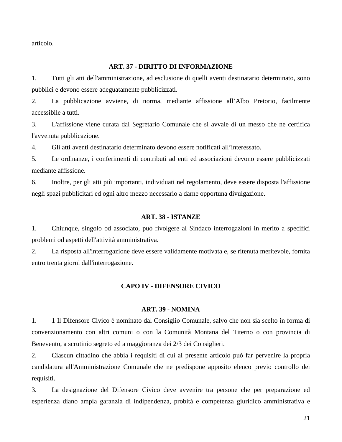articolo.

# **ART. 37 - DIRITTO DI INFORMAZIONE**

<span id="page-20-0"></span>1. Tutti gli atti dell'amministrazione, ad esclusione di quelli aventi destinatario determinato, sono pubblici e devono essere adeguatamente pubblicizzati.

2. La pubblicazione avviene, di norma, mediante affissione all'Albo Pretorio, facilmente accessibile a tutti.

3. L'affissione viene curata dal Segretario Comunale che si avvale di un messo che ne certifica l'avvenuta pubblicazione.

4. Gli atti aventi destinatario determinato devono essere notificati all'interessato.

5. Le ordinanze, i conferimenti di contributi ad enti ed associazioni devono essere pubblicizzati mediante affissione.

6. Inoltre, per gli atti più importanti, individuati nel regolamento, deve essere disposta l'affissione negli spazi pubblicitari ed ogni altro mezzo necessario a darne opportuna divulgazione.

#### **ART. 38 - ISTANZE**

<span id="page-20-1"></span>1. Chiunque, singolo od associato, può rivolgere al Sindaco interrogazioni in merito a specifici problemi od aspetti dell'attività amministrativa.

<span id="page-20-2"></span>2. La risposta all'interrogazione deve essere validamente motivata e, se ritenuta meritevole, fornita entro trenta giorni dall'interrogazione.

#### **CAPO IV - DIFENSORE CIVICO**

#### **ART. 39 - NOMINA**

<span id="page-20-3"></span>1. 1 Il Difensore Civico è nominato dal Consiglio Comunale, salvo che non sia scelto in forma di convenzionamento con altri comuni o con la Comunità Montana del Titerno o con provincia di Benevento, a scrutinio segreto ed a maggioranza dei 2/3 dei Consiglieri.

2. Ciascun cittadino che abbia i requisiti di cui al presente articolo può far pervenire la propria candidatura all'Amministrazione Comunale che ne predispone apposito elenco previo controllo dei requisiti.

3. La designazione del Difensore Civico deve avvenire tra persone che per preparazione ed esperienza diano ampia garanzia di indipendenza, probità e competenza giuridico amministrativa e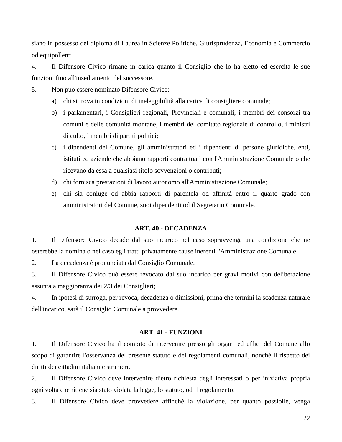siano in possesso del diploma di Laurea in Scienze Politiche, Giurisprudenza, Economia e Commercio od equipollenti.

4. Il Difensore Civico rimane in carica quanto il Consiglio che lo ha eletto ed esercita le sue funzioni fino all'insediamento del successore.

- 5. Non può essere nominato Difensore Civico:
	- a) chi si trova in condizioni di ineleggibilità alla carica di consigliere comunale;
	- b) i parlamentari, i Consiglieri regionali, Provinciali e comunali, i membri dei consorzi tra comuni e delle comunità montane, i membri del comitato regionale di controllo, i ministri di culto, i membri di partiti politici;
	- c) i dipendenti del Comune, gli amministratori ed i dipendenti di persone giuridiche, enti, istituti ed aziende che abbiano rapporti contrattuali con l'Amministrazione Comunale o che ricevano da essa a qualsiasi titolo sovvenzioni o contributi;
	- d) chi fornisca prestazioni di lavoro autonomo all'Amministrazione Comunale;
	- e) chi sia coniuge od abbia rapporti di parentela od affinità entro il quarto grado con amministratori del Comune, suoi dipendenti od il Segretario Comunale.

#### **ART. 40 - DECADENZA**

<span id="page-21-0"></span>1. Il Difensore Civico decade dal suo incarico nel caso sopravvenga una condizione che ne osterebbe la nomina o nel caso egli tratti privatamente cause inerenti l'Amministrazione Comunale.

2. La decadenza è pronunciata dal Consiglio Comunale.

3. Il Difensore Civico può essere revocato dal suo incarico per gravi motivi con deliberazione assunta a maggioranza dei 2/3 dei Consiglieri;

4. In ipotesi di surroga, per revoca, decadenza o dimissioni, prima che termini la scadenza naturale dell'incarico, sarà il Consiglio Comunale a provvedere.

# **ART. 41 - FUNZIONI**

<span id="page-21-1"></span>1. Il Difensore Civico ha il compito di intervenire presso gli organi ed uffici del Comune allo scopo di garantire l'osservanza del presente statuto e dei regolamenti comunali, nonché il rispetto dei diritti dei cittadini italiani e stranieri.

2. Il Difensore Civico deve intervenire dietro richiesta degli interessati o per iniziativa propria ogni volta che ritiene sia stato violata la legge, lo statuto, od il regolamento.

3. Il Difensore Civico deve provvedere affinché la violazione, per quanto possibile, venga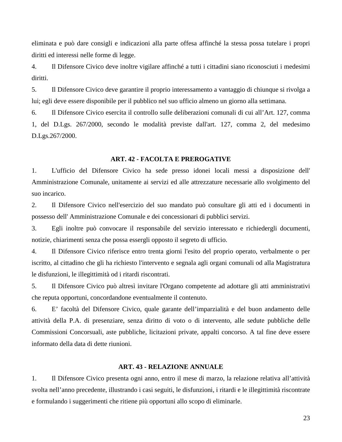eliminata e può dare consigli e indicazioni alla parte offesa affinché la stessa possa tutelare i propri diritti ed interessi nelle forme di legge.

4. Il Difensore Civico deve inoltre vigilare affinché a tutti i cittadini siano riconosciuti i medesimi diritti.

5. Il Difensore Civico deve garantire il proprio interessamento a vantaggio di chiunque si rivolga a lui; egli deve essere disponibile per il pubblico nel suo ufficio almeno un giorno alla settimana.

6. Il Difensore Civico esercita il controllo sulle deliberazioni comunali di cui all'Art. 127, comma 1, del D.Lgs. 267/2000, secondo le modalità previste dall'art. 127, comma 2, del medesimo D.Lgs.267/2000.

#### **ART. 42 - FACOLTA E PREROGATIVE**

<span id="page-22-0"></span>1. L'ufficio del Difensore Civico ha sede presso idonei locali messi a disposizione dell' Amministrazione Comunale, unitamente ai servizi ed alle attrezzature necessarie allo svolgimento del suo incarico.

2. Il Difensore Civico nell'esercizio del suo mandato può consultare gli atti ed i documenti in possesso dell' Amministrazione Comunale e dei concessionari di pubblici servizi.

3. Egli inoltre può convocare il responsabile del servizio interessato e richiedergli documenti, notizie, chiarimenti senza che possa essergli opposto il segreto di ufficio.

4. Il Difensore Civico riferisce entro trenta giorni l'esito del proprio operato, verbalmente o per iscritto, al cittadino che gli ha richiesto l'intervento e segnala agli organi comunali od alla Magistratura le disfunzioni, le illegittimità od i ritardi riscontrati.

5. Il Difensore Civico può altresì invitare l'Organo competente ad adottare gli atti amministrativi che reputa opportuni, concordandone eventualmente il contenuto.

6. E' facoltà del Difensore Civico, quale garante dell'imparzialità e del buon andamento delle attività della P.A. di presenziare, senza diritto di voto o di intervento, alle sedute pubbliche delle Commissioni Concorsuali, aste pubbliche, licitazioni private, appalti concorso. A tal fine deve essere informato della data di dette riunioni.

#### **ART. 43 - RELAZIONE ANNUALE**

<span id="page-22-1"></span>1. Il Difensore Civico presenta ogni anno, entro il mese di marzo, la relazione relativa all'attività svolta nell'anno precedente, illustrando i casi seguiti, le disfunzioni, i ritardi e le illegittimità riscontrate e formulando i suggerimenti che ritiene più opportuni allo scopo di eliminarle.

23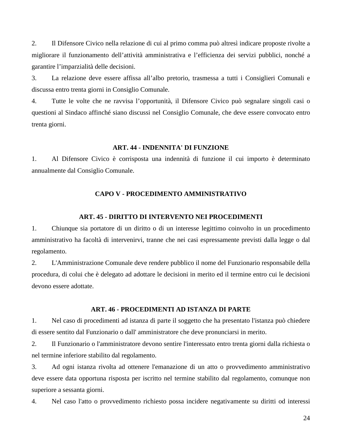2. Il Difensore Civico nella relazione di cui al primo comma può altresì indicare proposte rivolte a migliorare il funzionamento dell'attività amministrativa e l'efficienza dei servizi pubblici, nonché a garantire l'imparzialità delle decisioni.

3. La relazione deve essere affissa all'albo pretorio, trasmessa a tutti i Consiglieri Comunali e discussa entro trenta giorni in Consiglio Comunale.

4. Tutte le volte che ne ravvisa l'opportunità, il Difensore Civico può segnalare singoli casi o questioni al Sindaco affinché siano discussi nel Consiglio Comunale, che deve essere convocato entro trenta giorni.

#### **ART. 44 - INDENNITA' DI FUNZIONE**

<span id="page-23-1"></span><span id="page-23-0"></span>1. Al Difensore Civico è corrisposta una indennità di funzione il cui importo è determinato annualmente dal Consiglio Comunale.

# **CAPO V - PROCEDIMENTO AMMINISTRATIVO**

#### **ART. 45 - DIRITTO DI INTERVENTO NEI PROCEDIMENTI**

<span id="page-23-2"></span>1. Chiunque sia portatore di un diritto o di un interesse legittimo coinvolto in un procedimento amministrativo ha facoltà di intervenirvi, tranne che nei casi espressamente previsti dalla legge o dal regolamento.

2. L'Amministrazione Comunale deve rendere pubblico il nome del Funzionario responsabile della procedura, di colui che è delegato ad adottare le decisioni in merito ed il termine entro cui le decisioni devono essere adottate.

#### **ART. 46 - PROCEDIMENTI AD ISTANZA DI PARTE**

<span id="page-23-3"></span>1. Nel caso di procedimenti ad istanza di parte il soggetto che ha presentato l'istanza può chiedere di essere sentito dal Funzionario o dall' amministratore che deve pronunciarsi in merito.

2. Il Funzionario o l'amministratore devono sentire l'interessato entro trenta giorni dalla richiesta o nel termine inferiore stabilito dal regolamento.

3. Ad ogni istanza rivolta ad ottenere l'emanazione di un atto o provvedimento amministrativo deve essere data opportuna risposta per iscritto nel termine stabilito dal regolamento, comunque non superiore a sessanta giorni.

4. Nel caso l'atto o provvedimento richiesto possa incidere negativamente su diritti od interessi

24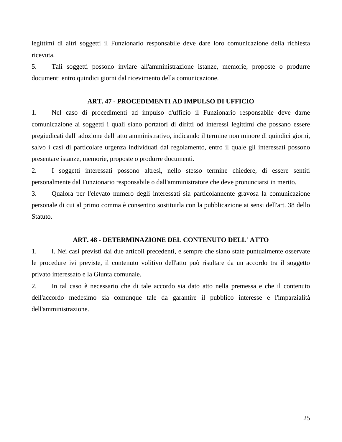legittimi di altri soggetti il Funzionario responsabile deve dare loro comunicazione della richiesta ricevuta.

5. Tali soggetti possono inviare all'amministrazione istanze, memorie, proposte o produrre documenti entro quindici giorni dal ricevimento della comunicazione.

# **ART. 47 - PROCEDIMENTI AD IMPULSO DI UFFICIO**

<span id="page-24-0"></span>1. Nel caso di procedimenti ad impulso d'ufficio il Funzionario responsabile deve darne comunicazione ai soggetti i quali siano portatori di diritti od interessi legittimi che possano essere pregiudicati dall' adozione dell' atto amministrativo, indicando il termine non minore di quindici giorni, salvo i casi di particolare urgenza individuati dal regolamento, entro il quale gli interessati possono presentare istanze, memorie, proposte o produrre documenti.

2. I soggetti interessati possono altresì, nello stesso termine chiedere, di essere sentiti personalmente dal Funzionario responsabile o dall'amministratore che deve pronunciarsi in merito.

3. Qualora per l'elevato numero degli interessati sia particolannente gravosa la comunicazione personale di cui al primo comma è consentito sostituirla con la pubblicazione ai sensi dell'art. 38 dello Statuto.

# **ART. 48 - DETERMINAZIONE DEL CONTENUTO DELL' ATTO**

<span id="page-24-1"></span>1. l. Nei casi previsti dai due articoli precedenti, e sempre che siano state puntualmente osservate le procedure ivi previste, il contenuto volitivo dell'atto può risultare da un accordo tra il soggetto privato interessato e la Giunta comunale.

2. In tal caso è necessario che di tale accordo sia dato atto nella premessa e che il contenuto dell'accordo medesimo sia comunque tale da garantire il pubblico interesse e l'imparzialità dell'amministrazione.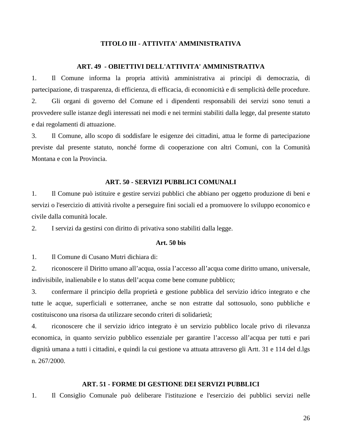# **TITOLO III - ATTIVITA' AMMINISTRATIVA**

#### **ART. 49 - OBIETTIVI DELL'ATTIVITA' AMMINISTRATIVA**

<span id="page-25-1"></span><span id="page-25-0"></span>1. Il Comune informa la propria attività amministrativa ai principi di democrazia, di partecipazione, di trasparenza, di efficienza, di efficacia, di economicità e di semplicità delle procedure. 2. Gli organi di governo del Comune ed i dipendenti responsabili dei servizi sono tenuti a provvedere sulle istanze degli interessati nei modi e nei termini stabiliti dalla legge, dal presente statuto e dai regolamenti di attuazione.

3. Il Comune, allo scopo di soddisfare le esigenze dei cittadini, attua le forme di partecipazione previste dal presente statuto, nonché forme di cooperazione con altri Comuni, con la Comunità Montana e con la Provincia.

# **ART. 50 - SERVIZI PUBBLICI COMUNALI**

<span id="page-25-2"></span>1. Il Comune può istituire e gestire servizi pubblici che abbiano per oggetto produzione di beni e servizi o l'esercizio di attività rivolte a perseguire fini sociali ed a promuovere lo sviluppo economico e civile dalla comunità locale.

2. I servizi da gestirsi con diritto di privativa sono stabiliti dalla legge.

# **Art. 50 bis**

1. Il Comune di Cusano Mutri dichiara di:

2. riconoscere il Diritto umano all'acqua, ossia l'accesso all'acqua come diritto umano, universale, indivisibile, inalienabile e lo status dell'acqua come bene comune pubblico;

3. confermare il principio della proprietà e gestione pubblica del servizio idrico integrato e che tutte le acque, superficiali e sotterranee, anche se non estratte dal sottosuolo, sono pubbliche e costituiscono una risorsa da utilizzare secondo criteri di solidarietà;

4. riconoscere che il servizio idrico integrato è un servizio pubblico locale privo di rilevanza economica, in quanto servizio pubblico essenziale per garantire l'accesso all'acqua per tutti e pari dignità umana a tutti i cittadini, e quindi la cui gestione va attuata attraverso gli Artt. 31 e 114 del d.lgs n. 267/2000.

# **ART. 51 - FORME DI GESTIONE DEI SERVIZI PUBBLICI**

<span id="page-25-3"></span>1. Il Consiglio Comunale può deliberare l'istituzione e l'esercizio dei pubblici servizi nelle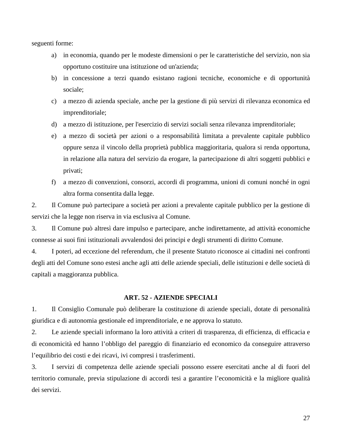seguenti forme:

- a) in economia, quando per le modeste dimensioni o per le caratteristiche del servizio, non sia opportuno costituire una istituzione od un'azienda;
- b) in concessione a terzi quando esistano ragioni tecniche, economiche e di opportunità sociale;
- c) a mezzo di azienda speciale, anche per la gestione di più servizi di rilevanza economica ed imprenditoriale;
- d) a mezzo di istituzione, per l'esercizio di servizi sociali senza rilevanza imprenditoriale;
- e) a mezzo di società per azioni o a responsabilità limitata a prevalente capitale pubblico oppure senza il vincolo della proprietà pubblica maggioritaria, qualora si renda opportuna, in relazione alla natura del servizio da erogare, la partecipazione di altri soggetti pubblici e privati;
- f) a mezzo di convenzioni, consorzi, accordi di programma, unioni di comuni nonché in ogni altra forma consentita dalla legge.

2. Il Comune può partecipare a società per azioni a prevalente capitale pubblico per la gestione di servizi che la legge non riserva in via esclusiva al Comune.

3. Il Comune può altresì dare impulso e partecipare, anche indirettamente, ad attività economiche connesse ai suoi fini istituzionali avvalendosi dei principi e degli strumenti di diritto Comune.

4. I poteri, ad eccezione del referendum, che il presente Statuto riconosce ai cittadini nei confronti degli atti del Comune sono estesi anche agli atti delle aziende speciali, delle istituzioni e delle società di capitali a maggioranza pubblica.

#### **ART. 52 - AZIENDE SPECIALI**

<span id="page-26-0"></span>1. Il Consiglio Comunale può deliberare la costituzione di aziende speciali, dotate di personalità giuridica e di autonomia gestionale ed imprenditoriale, e ne approva lo statuto.

2. Le aziende speciali informano la loro attività a criteri di trasparenza, di efficienza, di efficacia e di economicità ed hanno l'obbligo del pareggio di finanziario ed economico da conseguire attraverso l'equilibrio dei costi e dei ricavi, ivi compresi i trasferimenti.

3. I servizi di competenza delle aziende speciali possono essere esercitati anche al di fuori del territorio comunale, previa stipulazione di accordi tesi a garantire l'economicità e la migliore qualità dei servizi.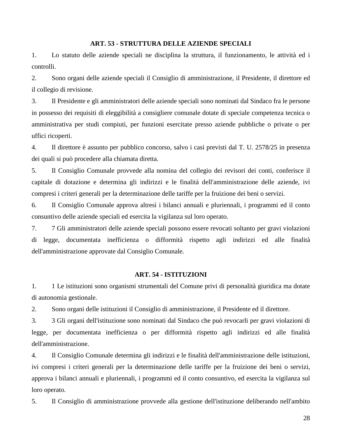# **ART. 53 - STRUTTURA DELLE AZIENDE SPECIALI**

<span id="page-27-0"></span>1. Lo statuto delle aziende speciali ne disciplina la struttura, il funzionamento, le attività ed i controlli.

2. Sono organi delle aziende speciali il Consiglio di amministrazione, il Presidente, il direttore ed il collegio di revisione.

3. Il Presidente e gli amministratori delle aziende speciali sono nominati dal Sindaco fra le persone in possesso dei requisiti di eleggibilità a consigliere comunale dotate di speciale competenza tecnica o amministrativa per studi compiuti, per funzioni esercitate presso aziende pubbliche o private o per uffici ricoperti.

4. Il direttore è assunto per pubblico concorso, salvo i casi previsti dal T. U. 2578/25 in presenza dei quali si può procedere alla chiamata diretta.

5. Il Consiglio Comunale provvede alla nomina del collegio dei revisori dei conti, conferisce il capitale di dotazione e determina gli indirizzi e le finalità dell'amministrazione delle aziende, ivi compresi i criteri generali per la determinazione delle tariffe per la fruizione dei beni o servizi.

6. Il Consiglio Comunale approva altresì i bilanci annuali e pluriennali, i programmi ed il conto consuntivo delle aziende speciali ed esercita la vigilanza sul loro operato.

7. 7 Gli amministratori delle aziende speciali possono essere revocati soltanto per gravi violazioni di legge, documentata inefficienza o difformità rispetto agli indirizzi ed alle finalità dell'amministrazione approvate dal Consiglio Comunale.

# **ART. 54 - ISTITUZIONI**

<span id="page-27-1"></span>1. 1 Le istituzioni sono organismi strumentali del Comune privi di personalità giuridica ma dotate di autonomia gestionale.

2. Sono organi delle istituzioni il Consiglio di amministrazione, il Presidente ed il direttore.

3. 3 Gli organi dell'istituzione sono nominati dal Sindaco che può revocarli per gravi violazioni di legge, per documentata inefficienza o per difformità rispetto agli indirizzi ed alle finalità dell'amministrazione.

4. Il Consiglio Comunale determina gli indirizzi e le finalità dell'amministrazione delle istituzioni, ivi compresi i criteri generali per la determinazione delle tariffe per la fruizione dei beni o servizi, approva i bilanci annuali e pluriennali, i programmi ed il conto consuntivo, ed esercita la vigilanza sul loro operato.

5. Il Consiglio di amministrazione provvede alla gestione dell'istituzione deliberando nell'ambito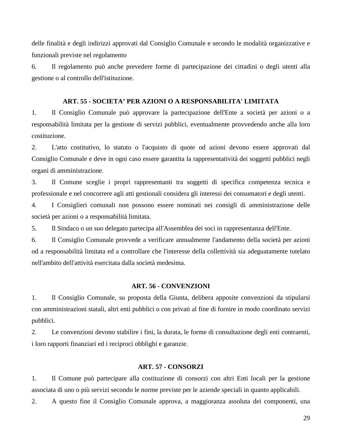delle finalità e degli indirizzi approvati dal Consiglio Comunale e secondo le modalità organizzative e funzionali previste nel regolamento

6. Il regolamento può anche prevedere forme di partecipazione dei cittadini o degli utenti alla gestione o al controllo dell'istituzione.

# **ART. 55 - SOCIETA' PER AZIONI O A RESPONSABILITA' LIMITATA**

<span id="page-28-0"></span>1. Il Consiglio Comunale può approvare la partecipazione dell'Ente a società per azioni o a responsabilità limitata per la gestione di servizi pubblici, eventualmente provvedendo anche alla loro costituzione.

2. L'atto costitutivo, lo statuto o l'acquisto di quote od azioni devono essere approvati dal Consiglio Comunale e deve in ogni caso essere garantita la rappresentatività dei soggetti pubblici negli organi di amministrazione.

3. Il Comune sceglie i propri rappresentanti tra soggetti di specifica competenza tecnica e professionale e nel concorrere agli atti gestionali considera gli interessi dei consumatori e degli utenti.

4. I Consiglieri comunali non possono essere nominati nei consigli di amministrazione delle società per azioni o a responsabilità limitata.

5. Il Sindaco o un suo delegato partecipa all'Assemblea dei soci in rappresentanza dell'Ente.

6. Il Consiglio Comunale provvede a verificare annualmente l'andamento della società per azioni od a responsabilità limitata ed a controllare che l'interesse della collettività sia adeguatamente tutelato nell'ambito dell'attività esercitata dalla società medesima.

#### **ART. 56 - CONVENZIONI**

<span id="page-28-1"></span>1. Il Consiglio Comunale, su proposta della Giunta, delibera apposite convenzioni da stipularsi con amministrazioni statali, altri enti pubblici o con privati al fine di fornire in modo coordinato servizi pubblici.

2. Le convenzioni devono stabilire i fini, la durata, le forme di consultazione degli enti contraenti, i loro rapporti finanziari ed i reciproci obblighi e garanzie.

# **ART. 57 - CONSORZI**

<span id="page-28-2"></span>1. Il Comune può partecipare alla costituzione di consorzi con altri Enti locali per la gestione associata di uno o più servizi secondo le norme previste per le aziende speciali in quanto applicabili.

2. A questo fine il Consiglio Comunale approva, a maggioranza assoluta dei componenti, una

29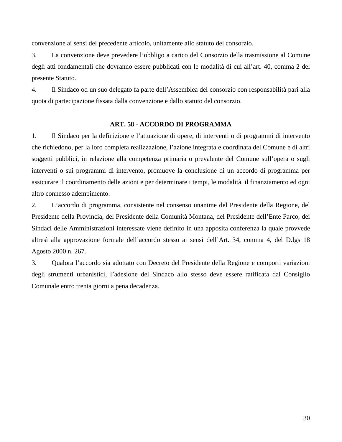convenzione ai sensi del precedente articolo, unitamente allo statuto del consorzio.

3. La convenzione deve prevedere l'obbligo a carico del Consorzio della trasmissione al Comune degli atti fondamentali che dovranno essere pubblicati con le modalità di cui all'art. 40, comma 2 del presente Statuto.

4. Il Sindaco od un suo delegato fa parte dell'Assemblea del consorzio con responsabilità pari alla quota di partecipazione fissata dalla convenzione e dallo statuto del consorzio.

# **ART. 58 - ACCORDO DI PROGRAMMA**

<span id="page-29-0"></span>1. Il Sindaco per la definizione e l'attuazione di opere, di interventi o di programmi di intervento che richiedono, per la loro completa realizzazione, l'azione integrata e coordinata del Comune e di altri soggetti pubblici, in relazione alla competenza primaria o prevalente del Comune sull'opera o sugli interventi o sui programmi di intervento, promuove la conclusione di un accordo di programma per assicurare il coordinamento delle azioni e per determinare i tempi, le modalità, il finanziamento ed ogni altro connesso adempimento.

2. L'accordo di programma, consistente nel consenso unanime del Presidente della Regione, del Presidente della Provincia, del Presidente della Comunità Montana, del Presidente dell'Ente Parco, dei Sindaci delle Amministrazioni interessate viene definito in una apposita conferenza la quale provvede altresì alla approvazione formale dell'accordo stesso ai sensi dell'Art. 34, comma 4, del D.lgs 18 Agosto 2000 n. 267.

3. Qualora l'accordo sia adottato con Decreto del Presidente della Regione e comporti variazioni degli strumenti urbanistici, l'adesione del Sindaco allo stesso deve essere ratificata dal Consiglio Comunale entro trenta giorni a pena decadenza.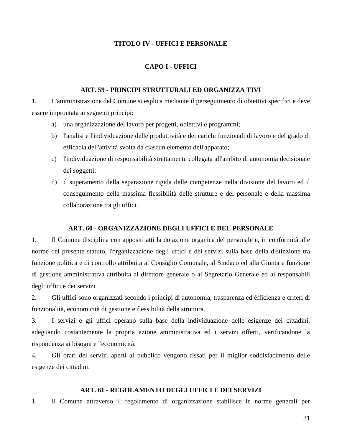# **TITOLO IV - UFFICI E PERSONALE**

# **CAPO I - UFFICI**

# **ART. 59 - PRINCIPI STRUTTURALI ED ORGANIZZA TIVI**

<span id="page-30-2"></span><span id="page-30-1"></span><span id="page-30-0"></span>1. L'amministrazione del Comune si esplica mediante il perseguimento di obiettivi specifici e deve essere improntata ai seguenti principi:

- a) una organizzazione del lavoro per progetti, obiettivi e programmi;
- b) l'analisi e l'individuazione delle produttività e dei carichi funzionali di lavoro e del grado di efficacia dell'attività svolta da ciascun elemento dell'apparato;
- c) l'individuazione di responsabilità strettamente collegata all'ambito di autonomia decisionale dei soggetti;
- d) il superamento della separazione rigida delle competenze nella divisione del lavoro ed il conseguimento della massima flessibilità delle strutture e del personale e della massima collaborazione tra gli uffici.

# **ART. 60 - ORGANIZZAZIONE DEGLI UFFICI E DEL PERSONALE**

<span id="page-30-3"></span>1. Il Comune disciplina con appositi atti la dotazione organica del personale e, in conformità alle norme del presente statuto, l'organizzazione degli uffici e dei servizi sulla base della distinzione tra funzione politica e di controllo attribuita al Consiglio Comunale, al Sindaco ed alla Giunta e funzione di gestione amministrativa attribuita al direttore generale o al Segretario Generale ed ai responsabili degli uffici e dei servizi.

2. Gli uffici sono organizzati secondo i principi di autonomia, trasparenza ed éfficienza e criteri di funzionalità, economicità di gestione e flessibilità della struttura.

3. I servizi e gli uffici operano sulla base della individuazione delle esigenze dei cittadini, adeguando costantemente la propria azione amministrativa ed i servizi offerti, verificandone la rispondenza ai bisogni e l'economicità.

4. Gli orari dei servizi aperti al pubblico vengono fissati per il miglior soddisfacimento delle esigenze dei cittadini.

# **ART. 61 - REGOLAMENTO DEGLI UFFICI E DEI SERVIZI**

<span id="page-30-4"></span>1. Il Comune attraverso il regolamento di organizzazione stabilisce le norme generali per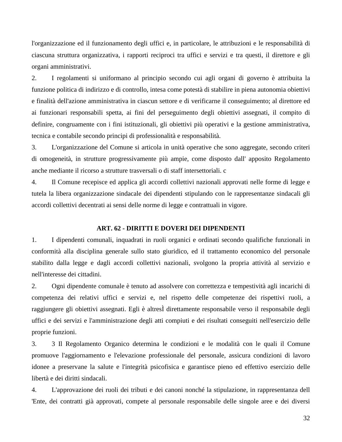l'organizzazione ed il funzionamento degli uffici e, in particolare, le attribuzioni e le responsabilità di ciascuna struttura organizzativa, i rapporti reciproci tra uffici e servizi e tra questi, il direttore e gli organi amministrativi.

2. I regolamenti si uniformano al principio secondo cui agli organi di governo è attribuita la funzione politica di indirizzo e di controllo, intesa come potestà di stabilire in piena autonomia obiettivi e finalità dell'azione amministrativa in ciascun settore e di verificarne il conseguimento; al direttore ed ai funzionari responsabili spetta, ai fini del perseguimento degli obiettivi assegnati, il compito di definire, congruamente con i fini istituzionali, gli obiettivi più operativi e la gestione amministrativa, tecnica e contabile secondo principi di professionalità e responsabilità.

3. L'organizzazione del Comune si articola in unità operative che sono aggregate, secondo criteri di omogeneità, in strutture progressivamente più ampie, come disposto dall' apposito Regolamento anche mediante il ricorso a strutture trasversali o di staff intersettoriali. c

4. Il Comune recepisce ed applica gli accordi collettivi nazionali approvati nelle forme di legge e tutela la libera organizzazione sindacale dei dipendenti stipulando con le rappresentanze sindacali gli accordi collettivi decentrati ai sensi delle norme di legge e contrattuali in vigore.

# **ART. 62 - DIRITTI E DOVERI DEI DIPENDENTI**

<span id="page-31-0"></span>1. I dipendenti comunali, inquadrati in ruoli organici e ordinati secondo qualifiche funzionali in conformità alla disciplina generale sullo stato giuridico, ed il trattamento economico del personale stabilito dalla legge e dagli accordi collettivi nazionali, svolgono la propria attività al servizio e nell'interesse dei cittadini.

2. Ogni dipendente comunale è tenuto ad assolvere con correttezza e tempestività agli incarichi di competenza dei relativi uffici e servizi e, nel rispetto delle competenze dei rispettivi ruoli, a raggiungere gli obiettivi assegnati. Egli è altresÌ direttamente responsabile verso il responsabile degli uffici e dei servizi e l'amministrazione degli atti compiuti e dei risultati conseguiti nell'esercizio delle proprie funzioni.

3. 3 Il Regolamento Organico determina le condizioni e le modalità con le quali il Comune promuove l'aggiornamento e l'elevazione professionale del personale, assicura condizioni di lavoro idonee a preservane la salute e l'integrità psicofisica e garantisce pieno ed effettivo esercizio delle libertà e dei diritti sindacali.

4. L'approvazione dei ruoli dei tributi e dei canoni nonché la stipulazione, in rappresentanza dell 'Ente, dei contratti già approvati, compete al personale responsabile delle singole aree e dei diversi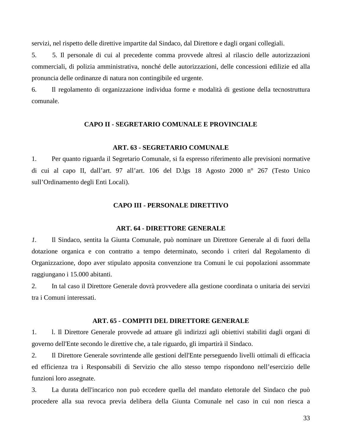servizi, nel rispetto delle direttive impartite dal Sindaco, dal Direttore e dagli organi collegiali.

5. 5. Il personale di cui al precedente comma provvede altresì al rilascio delle autorizzazioni commerciali, di polizia amministrativa, nonché delle autorizzazioni, delle concessioni edilizie ed alla pronuncia delle ordinanze di natura non contingibile ed urgente.

<span id="page-32-0"></span>6. Il regolamento di organizzazione individua forme e modalità di gestione della tecnostruttura comunale.

# **CAPO II - SEGRETARIO COMUNALE E PROVINCIALE**

#### **ART. 63 - SEGRETARIO COMUNALE**

<span id="page-32-1"></span>1. Per quanto riguarda il Segretario Comunale, si fa espresso riferimento alle previsioni normative di cui al capo II, dall'art. 97 all'art. 106 del D.lgs 18 Agosto 2000 n° 267 (Testo Unico sull'Ordinamento degli Enti Locali).

#### **CAPO III - PERSONALE DIRETTIVO**

#### **ART. 64 - DIRETTORE GENERALE**

<span id="page-32-3"></span><span id="page-32-2"></span>*1.* Il Sindaco, sentita la Giunta Comunale, può nominare un Direttore Generale al di fuori della dotazione organica e con contratto a tempo determinato, secondo i criteri dal Regolamento di Organizzazione, dopo aver stipulato apposita convenzione tra Comuni le cui popolazioni assommate raggiungano i 15.000 abitanti.

2. In tal caso il Direttore Generale dovrà provvedere alla gestione coordinata o unitaria dei servizi tra i Comuni interessati.

#### **ART. 65 - COMPITI DEL DIRETTORE GENERALE**

<span id="page-32-4"></span>1. l. Il Direttore Generale provvede ad attuare gli indirizzi agli obiettivi stabiliti dagli organi di governo dell'Ente secondo le direttive che, a tale riguardo, gli impartirà il Sindaco.

2. Il Direttore Generale sovrintende alle gestioni dell'Ente perseguendo livelli ottimali di efficacia ed efficienza tra i Responsabili di Servizio che allo stesso tempo rispondono nell'esercizio delle funzioni loro assegnate.

3. La durata dell'incarico non può eccedere quella del mandato elettorale del Sindaco che può procedere alla sua revoca previa delibera della Giunta Comunale nel caso in cui non riesca a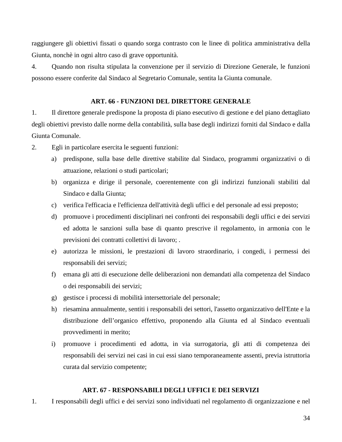raggiungere gli obiettivi fissati o quando sorga contrasto con le linee di politica amministrativa della Giunta, nonchè in ogni altro caso di grave opportunità.

4. Quando non risulta stipulata la convenzione per il servizio di Direzione Generale, le funzioni possono essere conferite dal Sindaco al Segretario Comunale, sentita la Giunta comunale.

# **ART. 66 - FUNZIONI DEL DIRETTORE GENERALE**

<span id="page-33-0"></span>1. Il direttore generale predispone la proposta di piano esecutivo di gestione e del piano dettagliato degli obiettivi previsto dalle norme della contabilità, sulla base degli indirizzi forniti dal Sindaco e dalla Giunta Comunale.

- 2. Egli in particolare esercita le seguenti funzioni:
	- a) predispone, sulla base delle direttive stabilite dal Sindaco, programmi organizzativi o di attuazione, relazioni o studi particolari;
	- b) organizza e dirige il personale, coerentemente con gli indirizzi funzionali stabiliti dal Sindaco e dalla Giunta;
	- c) verifica l'efficacia e l'efficienza dell'attività degli uffici e del personale ad essi preposto;
	- d) promuove i procedimenti disciplinari nei confronti dei responsabili degli uffici e dei servizi ed adotta le sanzioni sulla base di quanto prescrive il regolamento, in armonia con le previsioni dei contratti collettivi di lavoro; .
	- e) autorizza le missioni, le prestazioni di lavoro straordinario, i congedi, i permessi dei responsabili dei servizi;
	- f) emana gli atti di esecuzione delle deliberazioni non demandati alla competenza del Sindaco o dei responsabili dei servizi;
	- g) gestisce i processi di mobilità intersettoriale del personale;
	- h) riesamina annualmente, sentiti i responsabili dei settori, l'assetto organizzativo dell'Ente e la distribuzione dell'organico effettivo, proponendo alla Giunta ed al Sindaco eventuali provvedimenti in merito;
	- i) promuove i procedimenti ed adotta, in via surrogatoria, gli atti di competenza dei responsabili dei servizi nei casi in cui essi siano temporaneamente assenti, previa istruttoria curata dal servizio competente;

# **ART. 67 - RESPONSABILI DEGLI UFFICI E DEI SERVIZI**

<span id="page-33-1"></span>1. I responsabili degli uffici e dei servizi sono individuati nel regolamento di organizzazione e nel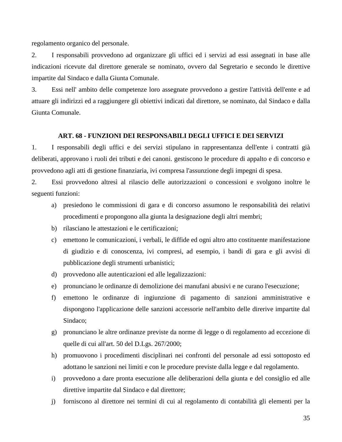regolamento organico del personale.

2. I responsabili provvedono ad organizzare gli uffici ed i servizi ad essi assegnati in base alle indicazioni ricevute dal direttore generale se nominato, ovvero dal Segretario e secondo le direttive impartite dal Sindaco e dalla Giunta Comunale.

3. Essi nell' ambito delle competenze loro assegnate provvedono a gestire l'attività dell'ente e ad attuare gli indirizzi ed a raggiungere gli obiettivi indicati dal direttore, se nominato, dal Sindaco e dalla Giunta Comunale.

#### **ART. 68 - FUNZIONI DEI RESPONSABILI DEGLI UFFICI E DEI SERVIZI**

<span id="page-34-0"></span>1. I responsabili degli uffici e dei servizi stipulano in rappresentanza dell'ente i contratti già deliberati, approvano i ruoli dei tributi e dei canoni. gestiscono le procedure di appalto e di concorso e provvedono agli atti di gestione finanziaria, ivi compresa l'assunzione degli impegni di spesa.

2. Essi provvedono altresì al rilascio delle autorizzazioni o concessioni e svolgono inoltre le seguenti funzioni:

- a) presiedono le commissioni di gara e di concorso assumono le responsabilità dei relativi procedimenti e propongono alla giunta la designazione degli altri membri;
- b) rilasciano le attestazioni e le certificazioni;
- c) emettono le comunicazioni, i verbali, le diffide ed ogni altro atto costituente manifestazione di giudizio e di conoscenza, ivi compresi, ad esempio, i bandi di gara e gli avvisi di pubblicazione degli strumenti urbanistici;
- d) provvedono alle autenticazioni ed alle legalizzazioni:
- e) pronunciano le ordinanze di demolizione dei manufani abusivi e ne curano l'esecuzione;
- f) emettono le ordinanze di ingiunzione di pagamento di sanzioni amministrative e dispongono l'applicazione delle sanzioni accessorie nell'ambito delle direrive impartite dal Sindaco;
- g) pronunciano le altre ordinanze previste da norme di legge o di regolamento ad eccezione di quelle di cui all'art. 50 del D.Lgs. 267/2000;
- h) promuovono i procedimenti disciplinari nei confronti del personale ad essi sottoposto ed adottano le sanzioni nei limiti e con le procedure previste dalla legge e dal regolamento.
- i) provvedono a dare pronta esecuzione alle deliberazioni della giunta e del consiglio ed alle direttive impartite dal Sindaco e dal direttore;
- j) forniscono al direttore nei termini di cui al regolamento di contabilità gli elementi per la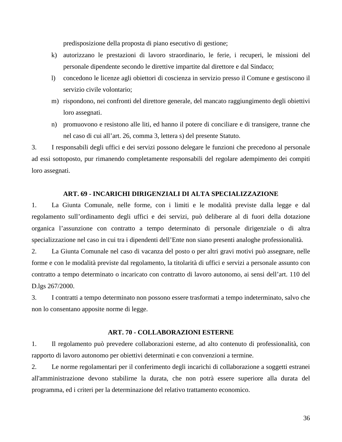predisposizione della proposta di piano esecutivo di gestione;

- k) autorizzano le prestazioni di lavoro straordinario, le ferie*,* i recuperi, le missioni del personale dipendente secondo le direttive impartite dal direttore e dal Sindaco;
- l) concedono le licenze agli obiettori di coscienza in servizio presso il Comune e gestiscono il servizio civile volontario;
- m) rispondono, nei confronti del direttore generale, del mancato raggiungimento degli obiettivi loro assegnati.
- n) promuovono e resistono alle liti, ed hanno il potere di conciliare e di transigere, tranne che nel caso di cui all'art. 26, comma 3, lettera s) del presente Statuto.

3. I responsabili degli uffici e dei servizi possono delegare le funzioni che precedono al personale ad essi sottoposto, pur rimanendo completamente responsabili del regolare adempimento dei compiti loro assegnati.

# **ART. 69 - INCARICHI DIRIGENZIALI DI ALTA SPECIALIZZAZIONE**

<span id="page-35-0"></span>1. La Giunta Comunale, nelle forme, con i limiti e le modalità previste dalla legge e dal regolamento sull'ordinamento degli uffici e dei servizi, può deliberare al di fuori della dotazione organica l'assunzione con contratto a tempo determinato di personale dirigenziale o di altra specializzazione nel caso in cui tra i dipendenti dell'Ente non siano presenti analoghe professionalità.

2. La Giunta Comunale nel caso di vacanza del posto o per altri gravi motivi può assegnare, nelle forme e con le modalità previste dal regolamento, la titolarità di uffici e servizi a personale assunto con contratto a tempo determinato o incaricato con contratto di lavoro autonomo, ai sensi dell'art. 110 del D.lgs 267/2000.

3. I contratti a tempo determinato non possono essere trasformati a tempo indeterminato, salvo che non lo consentano apposite norme di legge.

# **ART. 70 - COLLABORAZIONI ESTERNE**

<span id="page-35-1"></span>1. Il regolamento può prevedere collaborazioni esterne, ad alto contenuto di professionalità, con rapporto di lavoro autonomo per obiettivi determinati e con convenzioni a termine.

2. Le norme regolamentari per il conferimento degli incarichi di collaborazione a soggetti estranei all'amministrazione devono stabilirne la durata, che non potrà essere superiore alla durata del programma, ed i criteri per la determinazione del relativo trattamento economico.